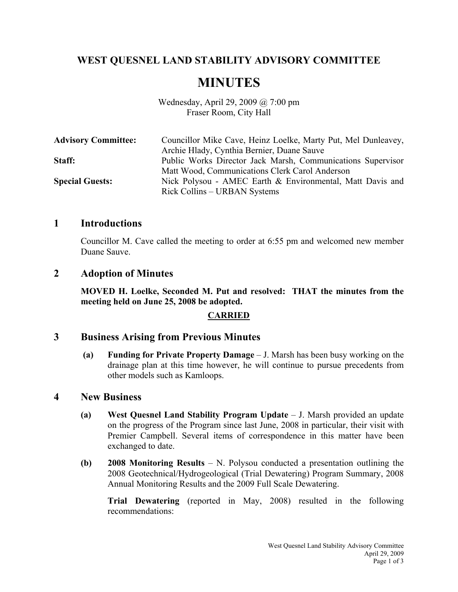# **WEST QUESNEL LAND STABILITY ADVISORY COMMITTEE**

# **MINUTES**

Wednesday, April 29, 2009 @ 7:00 pm Fraser Room, City Hall

| <b>Advisory Committee:</b> | Councillor Mike Cave, Heinz Loelke, Marty Put, Mel Dunleavey, |
|----------------------------|---------------------------------------------------------------|
|                            | Archie Hlady, Cynthia Bernier, Duane Sauve                    |
| Staff:                     | Public Works Director Jack Marsh, Communications Supervisor   |
|                            | Matt Wood, Communications Clerk Carol Anderson                |
| <b>Special Guests:</b>     | Nick Polysou - AMEC Earth & Environmental, Matt Davis and     |
|                            | Rick Collins – URBAN Systems                                  |

## **1 Introductions**

Councillor M. Cave called the meeting to order at 6:55 pm and welcomed new member Duane Sauve.

## **2 Adoption of Minutes**

**MOVED H. Loelke, Seconded M. Put and resolved: THAT the minutes from the meeting held on June 25, 2008 be adopted.** 

## **CARRIED**

## **3 Business Arising from Previous Minutes**

 **(a) Funding for Private Property Damage** – J. Marsh has been busy working on the drainage plan at this time however, he will continue to pursue precedents from other models such as Kamloops.

#### **4 New Business**

- **(a) West Quesnel Land Stability Program Update** J. Marsh provided an update on the progress of the Program since last June, 2008 in particular, their visit with Premier Campbell. Several items of correspondence in this matter have been exchanged to date.
- **(b) 2008 Monitoring Results**  N. Polysou conducted a presentation outlining the 2008 Geotechnical/Hydrogeological (Trial Dewatering) Program Summary, 2008 Annual Monitoring Results and the 2009 Full Scale Dewatering.

**Trial Dewatering** (reported in May, 2008) resulted in the following recommendations: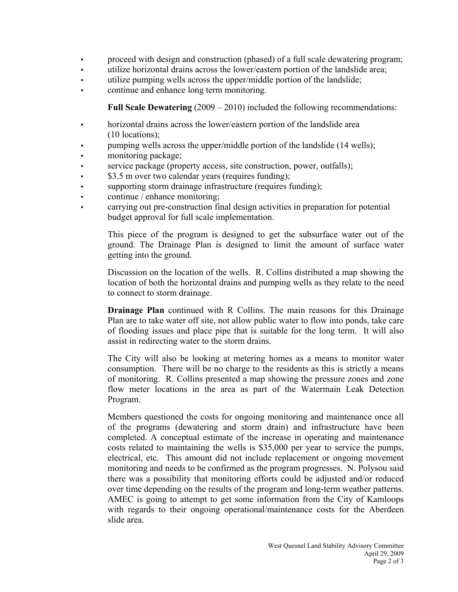- proceed with design and construction (phased) of a full scale dewatering program;
- utilize horizontal drains across the lower/eastern portion of the landslide area;
- utilize pumping wells across the upper/middle portion of the landslide;
- continue and enhance long term monitoring.

**Full Scale Dewatering** (2009 – 2010) included the following recommendations:

- horizontal drains across the lower/eastern portion of the landslide area (10 locations);
- pumping wells across the upper/middle portion of the landslide (14 wells);
- monitoring package;
- service package (property access, site construction, power, outfalls);
- \$3.5 m over two calendar years (requires funding);
- supporting storm drainage infrastructure (requires funding);
- continue / enhance monitoring;
- carrying out pre-construction final design activities in preparation for potential budget approval for full scale implementation.

 This piece of the program is designed to get the subsurface water out of the ground. The Drainage Plan is designed to limit the amount of surface water getting into the ground.

 Discussion on the location of the wells. R. Collins distributed a map showing the location of both the horizontal drains and pumping wells as they relate to the need to connect to storm drainage.

**Drainage Plan** continued with R Collins. The main reasons for this Drainage Plan are to take water off site, not allow public water to flow into ponds, take care of flooding issues and place pipe that is suitable for the long term. It will also assist in redirecting water to the storm drains.

 The City will also be looking at metering homes as a means to monitor water consumption. There will be no charge to the residents as this is strictly a means of monitoring. R. Collins presented a map showing the pressure zones and zone flow meter locations in the area as part of the Watermain Leak Detection Program.

Members questioned the costs for ongoing monitoring and maintenance once all of the programs (dewatering and storm drain) and infrastructure have been completed. A conceptual estimate of the increase in operating and maintenance costs related to maintaining the wells is \$35,000 per year to service the pumps, electrical, etc. This amount did not include replacement or ongoing movement monitoring and needs to be confirmed as the program progresses. N. Polysou said there was a possibility that monitoring efforts could be adjusted and/or reduced over time depending on the results of the program and long-term weather patterns. AMEC is going to attempt to get some information from the City of Kamloops with regards to their ongoing operational/maintenance costs for the Aberdeen slide area.